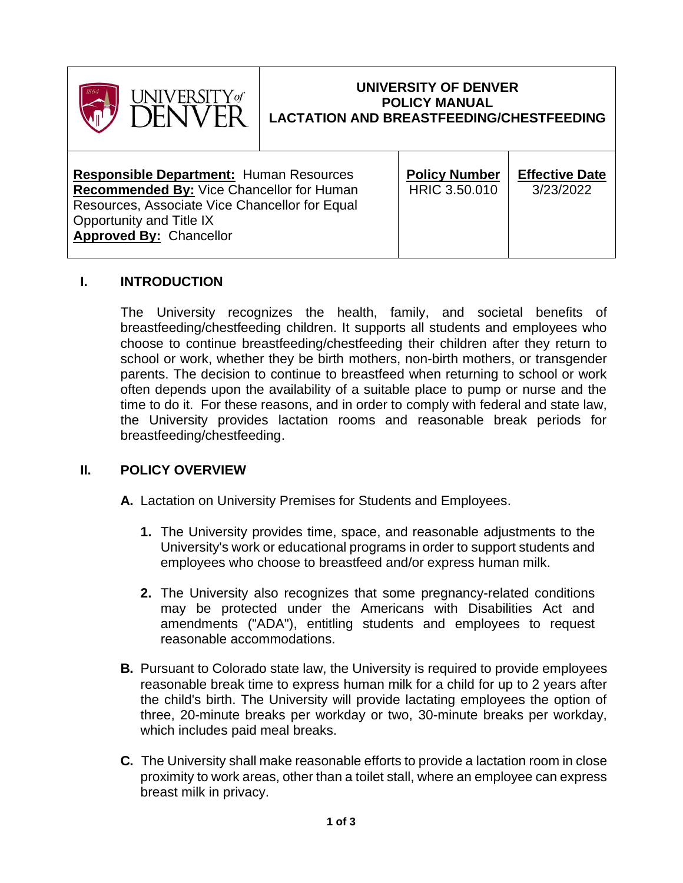

### **UNIVERSITY OF DENVER POLICY MANUAL LACTATION AND BREASTFEEDING/CHESTFEEDING**

## **I. INTRODUCTION**

The University recognizes the health, family, and societal benefits of breastfeeding/chestfeeding children. It supports all students and employees who choose to continue breastfeeding/chestfeeding their children after they return to school or work, whether they be birth mothers, non-birth mothers, or transgender parents. The decision to continue to breastfeed when returning to school or work often depends upon the availability of a suitable place to pump or nurse and the time to do it. For these reasons, and in order to comply with federal and state law, the University provides lactation rooms and reasonable break periods for breastfeeding/chestfeeding.

#### **II. POLICY OVERVIEW**

**A.** Lactation on University Premises for Students and Employees.

- **1.** The University provides time, space, and reasonable adjustments to the University's work or educational programs in order to support students and employees who choose to breastfeed and/or express human milk.
- **2.** The University also recognizes that some pregnancy-related conditions may be protected under the Americans with Disabilities Act and amendments ("ADA"), entitling students and employees to request reasonable accommodations.
- **B.** Pursuant to Colorado state law, the University is required to provide employees reasonable break time to express human milk for a child for up to 2 years after the child's birth. The University will provide lactating employees the option of three, 20-minute breaks per workday or two, 30-minute breaks per workday, which includes paid meal breaks.
- **C.** The University shall make reasonable efforts to provide a lactation room in close proximity to work areas, other than a toilet stall, where an employee can express breast milk in privacy.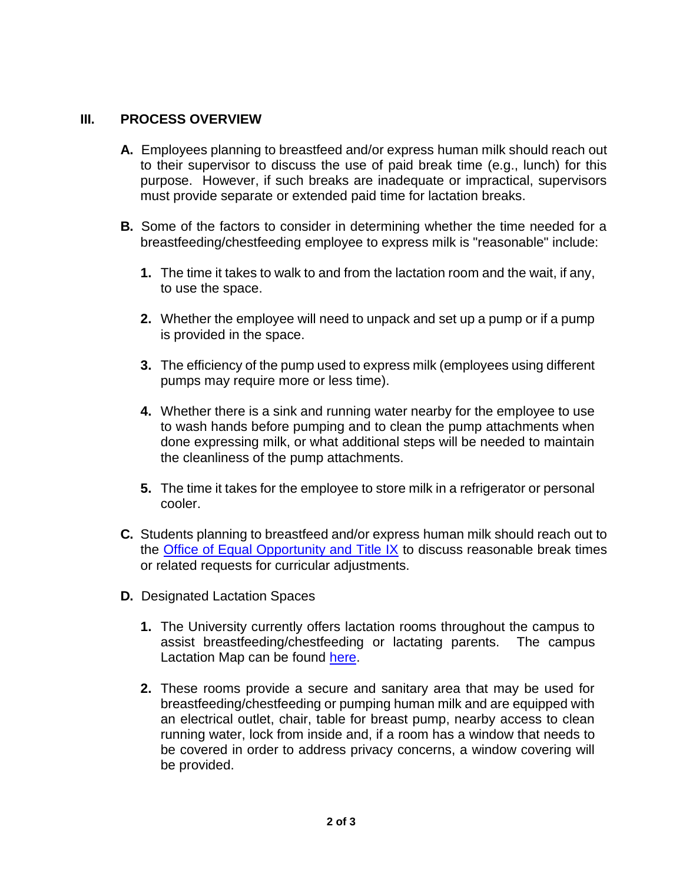#### **III. PROCESS OVERVIEW**

- **A.** Employees planning to breastfeed and/or express human milk should reach out to their supervisor to discuss the use of paid break time (e.g., lunch) for this purpose. However, if such breaks are inadequate or impractical, supervisors must provide separate or extended paid time for lactation breaks.
- **B.** Some of the factors to consider in determining whether the time needed for a breastfeeding/chestfeeding employee to express milk is "reasonable" include:
	- **1.** The time it takes to walk to and from the lactation room and the wait, if any, to use the space.
	- **2.** Whether the employee will need to unpack and set up a pump or if a pump is provided in the space.
	- **3.** The efficiency of the pump used to express milk (employees using different pumps may require more or less time).
	- **4.** Whether there is a sink and running water nearby for the employee to use to wash hands before pumping and to clean the pump attachments when done expressing milk, or what additional steps will be needed to maintain the cleanliness of the pump attachments.
	- **5.** The time it takes for the employee to store milk in a refrigerator or personal cooler.
- **C.** Students planning to breastfeed and/or express human milk should reach out to the [Office of Equal Opportunity and Title IX](https://www.du.edu/equalopportunity/equal-opportunity) to discuss reasonable break times or related requests for curricular adjustments.
- **D.** Designated Lactation Spaces
	- **1.** The University currently offers lactation rooms throughout the campus to assist breastfeeding/chestfeeding or lactating parents. The campus Lactation Map can be found [here.](https://map.concept3d.com/?id=64#!m/397937?ce/879?ct/4679,40056,4680,4681,4682,42847)
	- **2.** These rooms provide a secure and sanitary area that may be used for breastfeeding/chestfeeding or pumping human milk and are equipped with an electrical outlet, chair, table for breast pump, nearby access to clean running water, lock from inside and, if a room has a window that needs to be covered in order to address privacy concerns, a window covering will be provided.